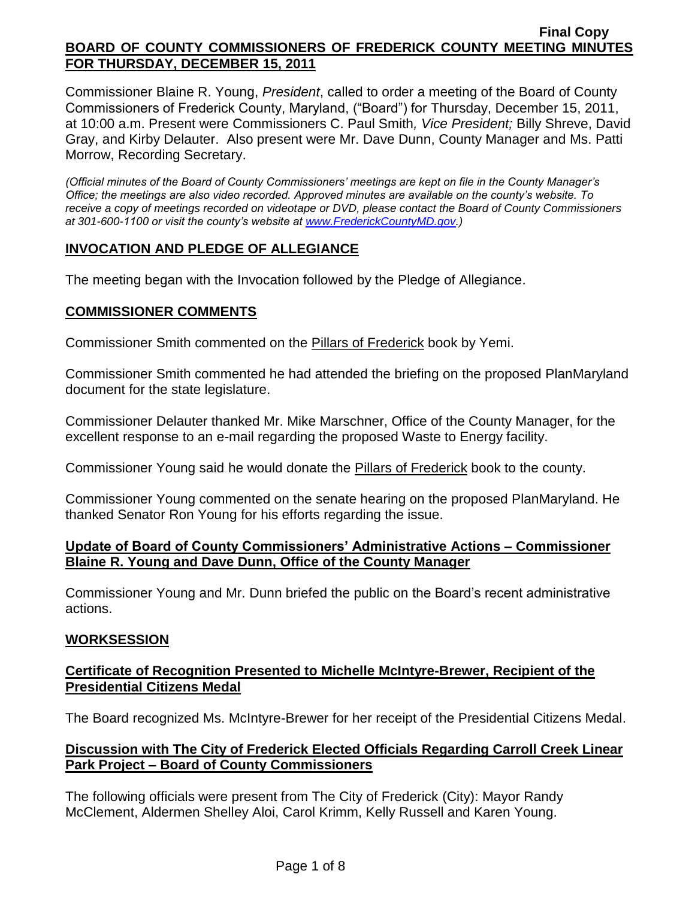Commissioner Blaine R. Young, *President*, called to order a meeting of the Board of County Commissioners of Frederick County, Maryland, ("Board") for Thursday, December 15, 2011, at 10:00 a.m. Present were Commissioners C. Paul Smith*, Vice President;* Billy Shreve, David Gray, and Kirby Delauter. Also present were Mr. Dave Dunn, County Manager and Ms. Patti Morrow, Recording Secretary.

*(Official minutes of the Board of County Commissioners' meetings are kept on file in the County Manager's Office; the meetings are also video recorded. Approved minutes are available on the county's website. To receive a copy of meetings recorded on videotape or DVD, please contact the Board of County Commissioners at 301-600-1100 or visit the county's website at [www.FrederickCountyMD.gov.](http://www.frederickcountymd.gov/))*

# **INVOCATION AND PLEDGE OF ALLEGIANCE**

The meeting began with the Invocation followed by the Pledge of Allegiance.

## **COMMISSIONER COMMENTS**

Commissioner Smith commented on the Pillars of Frederick book by Yemi.

Commissioner Smith commented he had attended the briefing on the proposed PlanMaryland document for the state legislature.

Commissioner Delauter thanked Mr. Mike Marschner, Office of the County Manager, for the excellent response to an e-mail regarding the proposed Waste to Energy facility.

Commissioner Young said he would donate the Pillars of Frederick book to the county.

Commissioner Young commented on the senate hearing on the proposed PlanMaryland. He thanked Senator Ron Young for his efforts regarding the issue.

### **Update of Board of County Commissioners' Administrative Actions – Commissioner Blaine R. Young and Dave Dunn, Office of the County Manager**

Commissioner Young and Mr. Dunn briefed the public on the Board's recent administrative actions.

## **WORKSESSION**

## **Certificate of Recognition Presented to Michelle McIntyre-Brewer, Recipient of the Presidential Citizens Medal**

The Board recognized Ms. McIntyre-Brewer for her receipt of the Presidential Citizens Medal.

## **Discussion with The City of Frederick Elected Officials Regarding Carroll Creek Linear Park Project – Board of County Commissioners**

The following officials were present from The City of Frederick (City): Mayor Randy McClement, Aldermen Shelley Aloi, Carol Krimm, Kelly Russell and Karen Young.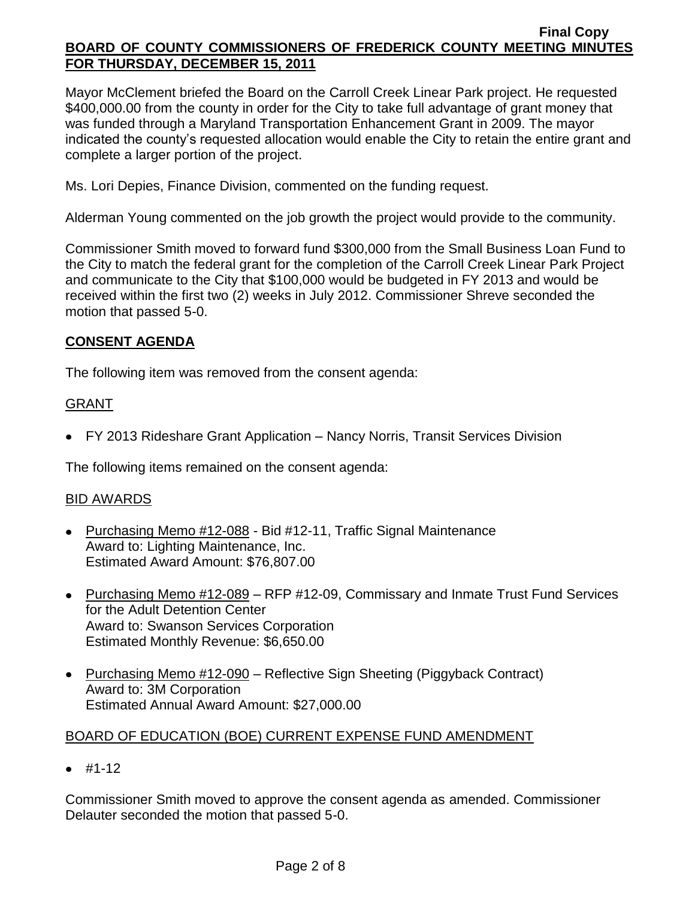Mayor McClement briefed the Board on the Carroll Creek Linear Park project. He requested \$400,000.00 from the county in order for the City to take full advantage of grant money that was funded through a Maryland Transportation Enhancement Grant in 2009. The mayor indicated the county's requested allocation would enable the City to retain the entire grant and complete a larger portion of the project.

Ms. Lori Depies, Finance Division, commented on the funding request.

Alderman Young commented on the job growth the project would provide to the community.

Commissioner Smith moved to forward fund \$300,000 from the Small Business Loan Fund to the City to match the federal grant for the completion of the Carroll Creek Linear Park Project and communicate to the City that \$100,000 would be budgeted in FY 2013 and would be received within the first two (2) weeks in July 2012. Commissioner Shreve seconded the motion that passed 5-0.

# **CONSENT AGENDA**

The following item was removed from the consent agenda:

# GRANT

FY 2013 Rideshare Grant Application – Nancy Norris, Transit Services Division

The following items remained on the consent agenda:

## BID AWARDS

- Purchasing Memo #12-088 Bid #12-11, Traffic Signal Maintenance Award to: Lighting Maintenance, Inc. Estimated Award Amount: \$76,807.00
- Purchasing Memo #12-089 RFP #12-09, Commissary and Inmate Trust Fund Services for the Adult Detention Center Award to: Swanson Services Corporation Estimated Monthly Revenue: \$6,650.00
- Purchasing Memo #12-090 Reflective Sign Sheeting (Piggyback Contract) Award to: 3M Corporation Estimated Annual Award Amount: \$27,000.00

# BOARD OF EDUCATION (BOE) CURRENT EXPENSE FUND AMENDMENT

 $• #1-12$ 

Commissioner Smith moved to approve the consent agenda as amended. Commissioner Delauter seconded the motion that passed 5-0.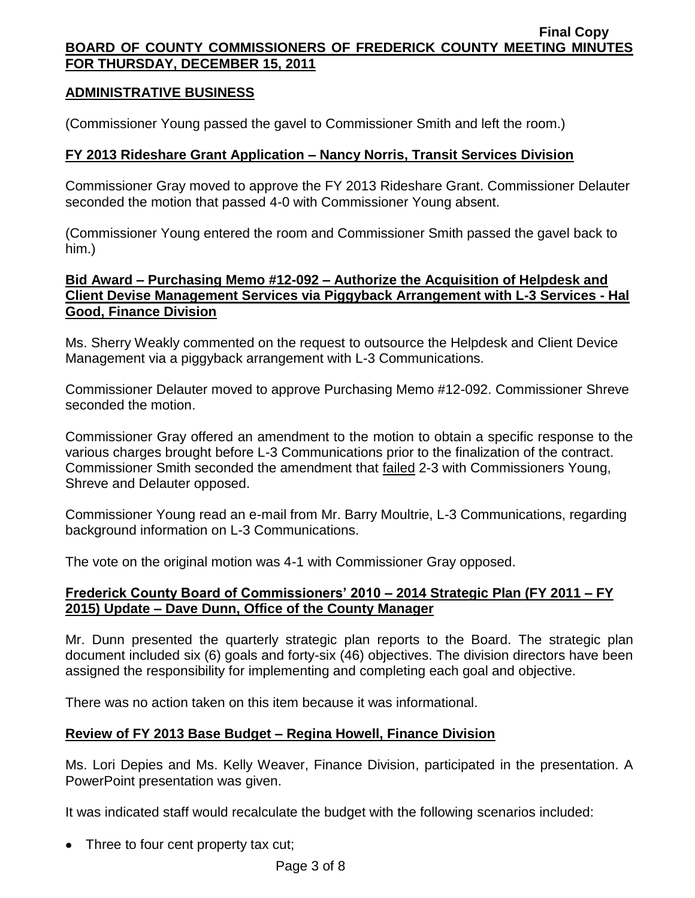## **ADMINISTRATIVE BUSINESS**

(Commissioner Young passed the gavel to Commissioner Smith and left the room.)

## **FY 2013 Rideshare Grant Application – Nancy Norris, Transit Services Division**

Commissioner Gray moved to approve the FY 2013 Rideshare Grant. Commissioner Delauter seconded the motion that passed 4-0 with Commissioner Young absent.

(Commissioner Young entered the room and Commissioner Smith passed the gavel back to him.)

## **Bid Award – Purchasing Memo #12-092 – Authorize the Acquisition of Helpdesk and Client Devise Management Services via Piggyback Arrangement with L-3 Services - Hal Good, Finance Division**

Ms. Sherry Weakly commented on the request to outsource the Helpdesk and Client Device Management via a piggyback arrangement with L-3 Communications.

Commissioner Delauter moved to approve Purchasing Memo #12-092. Commissioner Shreve seconded the motion.

Commissioner Gray offered an amendment to the motion to obtain a specific response to the various charges brought before L-3 Communications prior to the finalization of the contract. Commissioner Smith seconded the amendment that failed 2-3 with Commissioners Young, Shreve and Delauter opposed.

Commissioner Young read an e-mail from Mr. Barry Moultrie, L-3 Communications, regarding background information on L-3 Communications.

The vote on the original motion was 4-1 with Commissioner Gray opposed.

# **Frederick County Board of Commissioners' 2010 – 2014 Strategic Plan (FY 2011 – FY 2015) Update – Dave Dunn, Office of the County Manager**

Mr. Dunn presented the quarterly strategic plan reports to the Board. The strategic plan document included six (6) goals and forty-six (46) objectives. The division directors have been assigned the responsibility for implementing and completing each goal and objective.

There was no action taken on this item because it was informational.

# **Review of FY 2013 Base Budget – Regina Howell, Finance Division**

Ms. Lori Depies and Ms. Kelly Weaver, Finance Division, participated in the presentation. A PowerPoint presentation was given.

It was indicated staff would recalculate the budget with the following scenarios included:

Three to four cent property tax cut;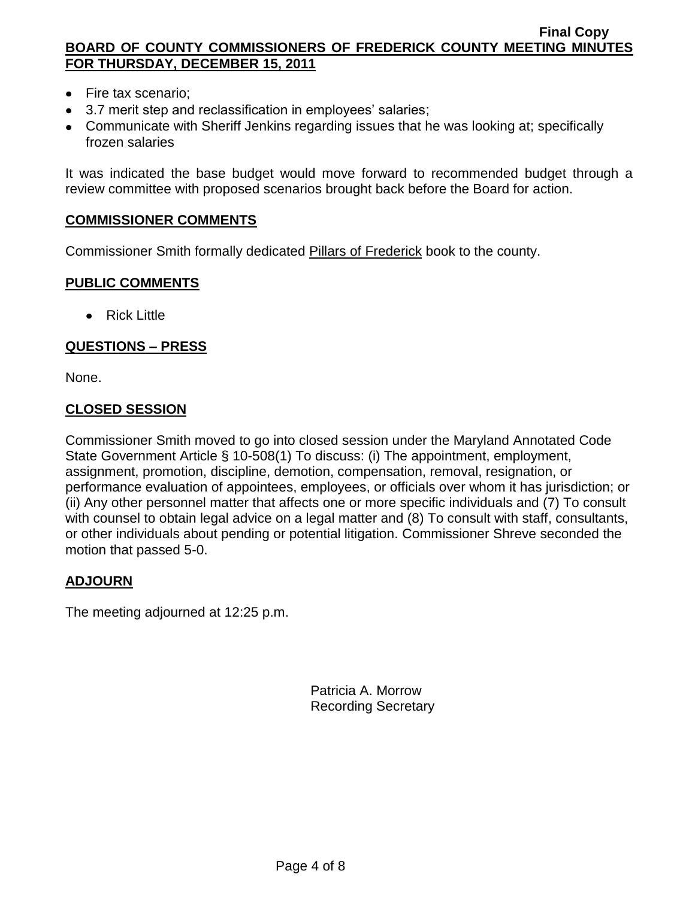- Fire tax scenario;
- 3.7 merit step and reclassification in employees' salaries;
- Communicate with Sheriff Jenkins regarding issues that he was looking at; specifically frozen salaries

It was indicated the base budget would move forward to recommended budget through a review committee with proposed scenarios brought back before the Board for action.

### **COMMISSIONER COMMENTS**

Commissioner Smith formally dedicated Pillars of Frederick book to the county.

### **PUBLIC COMMENTS**

• Rick Little

## **QUESTIONS – PRESS**

None.

## **CLOSED SESSION**

Commissioner Smith moved to go into closed session under the Maryland Annotated Code State Government Article § 10-508(1) To discuss: (i) The appointment, employment, assignment, promotion, discipline, demotion, compensation, removal, resignation, or performance evaluation of appointees, employees, or officials over whom it has jurisdiction; or (ii) Any other personnel matter that affects one or more specific individuals and (7) To consult with counsel to obtain legal advice on a legal matter and (8) To consult with staff, consultants, or other individuals about pending or potential litigation. Commissioner Shreve seconded the motion that passed 5-0.

## **ADJOURN**

The meeting adjourned at 12:25 p.m.

Patricia A. Morrow Recording Secretary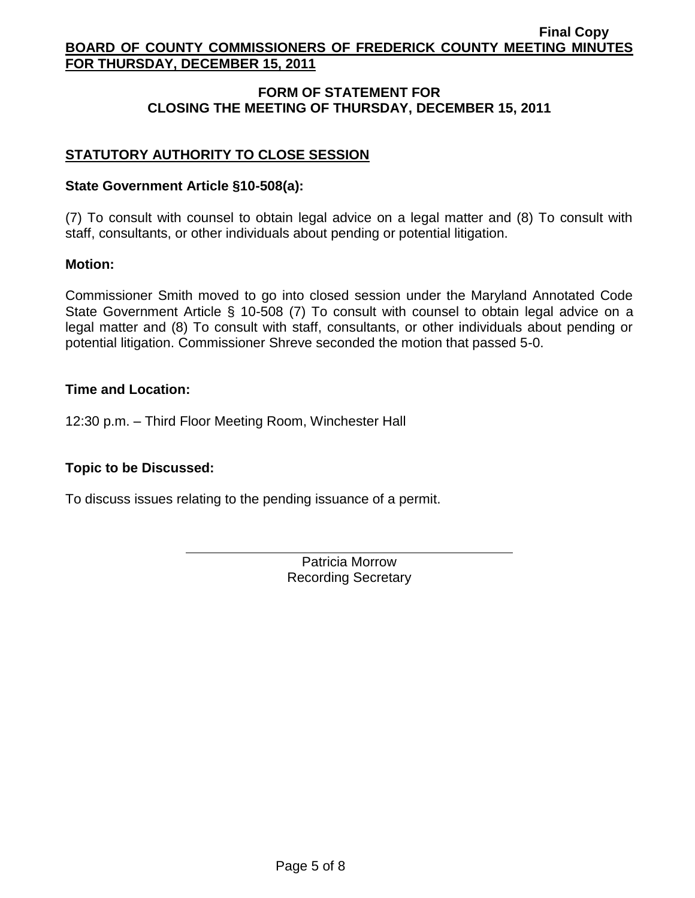# **FORM OF STATEMENT FOR CLOSING THE MEETING OF THURSDAY, DECEMBER 15, 2011**

# **STATUTORY AUTHORITY TO CLOSE SESSION**

### **State Government Article §10-508(a):**

(7) To consult with counsel to obtain legal advice on a legal matter and (8) To consult with staff, consultants, or other individuals about pending or potential litigation.

#### **Motion:**

Commissioner Smith moved to go into closed session under the Maryland Annotated Code State Government Article § 10-508 (7) To consult with counsel to obtain legal advice on a legal matter and (8) To consult with staff, consultants, or other individuals about pending or potential litigation. Commissioner Shreve seconded the motion that passed 5-0.

### **Time and Location:**

12:30 p.m. – Third Floor Meeting Room, Winchester Hall

## **Topic to be Discussed:**

To discuss issues relating to the pending issuance of a permit.

Patricia Morrow Recording Secretary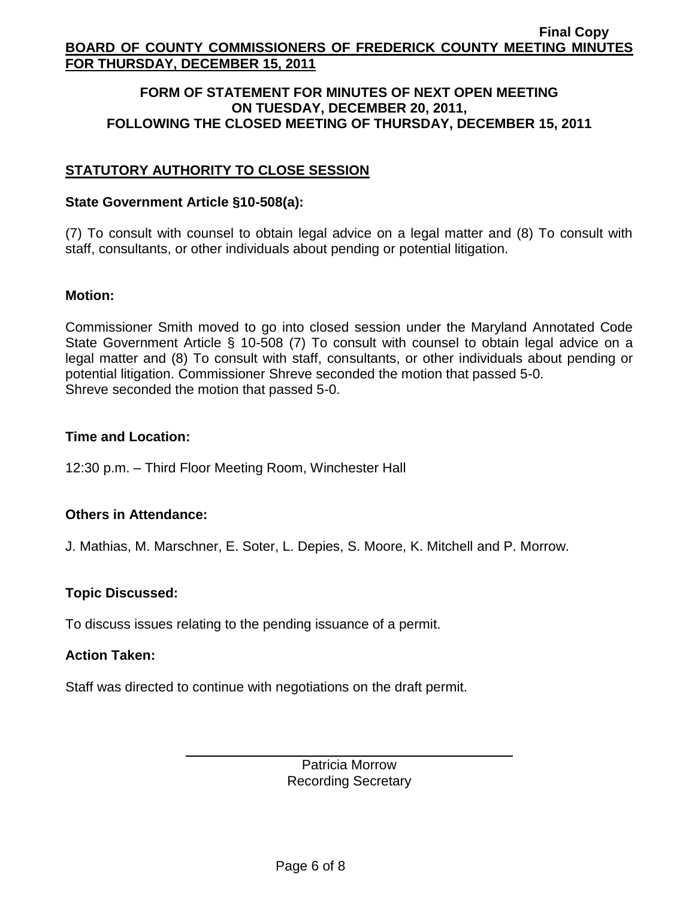### **FORM OF STATEMENT FOR MINUTES OF NEXT OPEN MEETING ON TUESDAY, DECEMBER 20, 2011, FOLLOWING THE CLOSED MEETING OF THURSDAY, DECEMBER 15, 2011**

# **STATUTORY AUTHORITY TO CLOSE SESSION**

### **State Government Article §10-508(a):**

(7) To consult with counsel to obtain legal advice on a legal matter and (8) To consult with staff, consultants, or other individuals about pending or potential litigation.

#### **Motion:**

Commissioner Smith moved to go into closed session under the Maryland Annotated Code State Government Article § 10-508 (7) To consult with counsel to obtain legal advice on a legal matter and (8) To consult with staff, consultants, or other individuals about pending or potential litigation. Commissioner Shreve seconded the motion that passed 5-0. Shreve seconded the motion that passed 5-0.

### **Time and Location:**

12:30 p.m. – Third Floor Meeting Room, Winchester Hall

## **Others in Attendance:**

J. Mathias, M. Marschner, E. Soter, L. Depies, S. Moore, K. Mitchell and P. Morrow.

## **Topic Discussed:**

To discuss issues relating to the pending issuance of a permit.

### **Action Taken:**

Staff was directed to continue with negotiations on the draft permit.

Patricia Morrow Recording Secretary

Page 6 of 8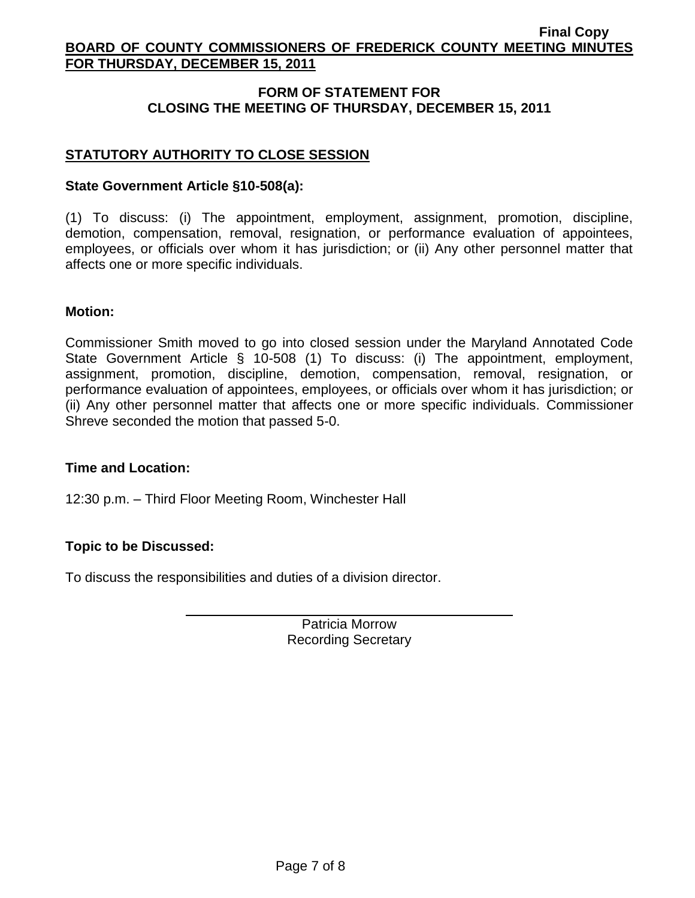# **FORM OF STATEMENT FOR CLOSING THE MEETING OF THURSDAY, DECEMBER 15, 2011**

# **STATUTORY AUTHORITY TO CLOSE SESSION**

### **State Government Article §10-508(a):**

(1) To discuss: (i) The appointment, employment, assignment, promotion, discipline, demotion, compensation, removal, resignation, or performance evaluation of appointees, employees, or officials over whom it has jurisdiction; or (ii) Any other personnel matter that affects one or more specific individuals.

#### **Motion:**

Commissioner Smith moved to go into closed session under the Maryland Annotated Code State Government Article § 10-508 (1) To discuss: (i) The appointment, employment, assignment, promotion, discipline, demotion, compensation, removal, resignation, or performance evaluation of appointees, employees, or officials over whom it has jurisdiction; or (ii) Any other personnel matter that affects one or more specific individuals. Commissioner Shreve seconded the motion that passed 5-0.

#### **Time and Location:**

12:30 p.m. – Third Floor Meeting Room, Winchester Hall

## **Topic to be Discussed:**

To discuss the responsibilities and duties of a division director.

Patricia Morrow Recording Secretary